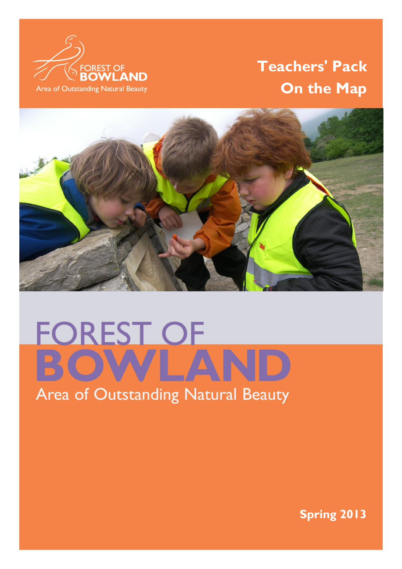

# **Teachers' Pack On the Map**



 $\mathbb{F}_q$  is a strong state of  $\mathbb{F}_q$  of  $\mathbb{F}_q$  . The strong state of  $\mathbb{F}_q$  is a strong state of  $\mathbb{F}_q$ 

# **FOREST OF**

# Area of Outstanding Natural Beauty

**Spring 2013**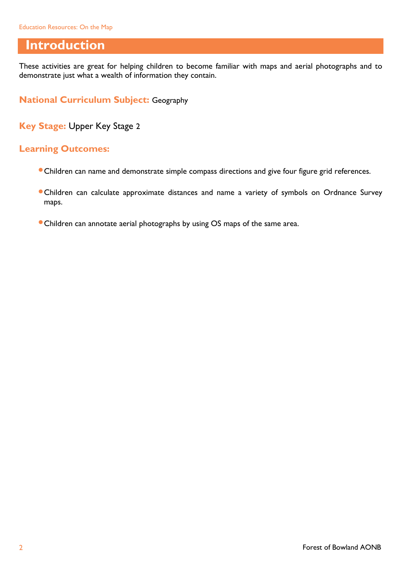#### **Introduction**

These activities are great for helping children to become familiar with maps and aerial photographs and to demonstrate just what a wealth of information they contain.

**National Curriculum Subject:** Geography

**Key Stage:** Upper Key Stage 2

#### **Learning Outcomes:**

- Children can name and demonstrate simple compass directions and give four figure grid references.
- Children can calculate approximate distances and name a variety of symbols on Ordnance Survey maps.
- Children can annotate aerial photographs by using OS maps of the same area.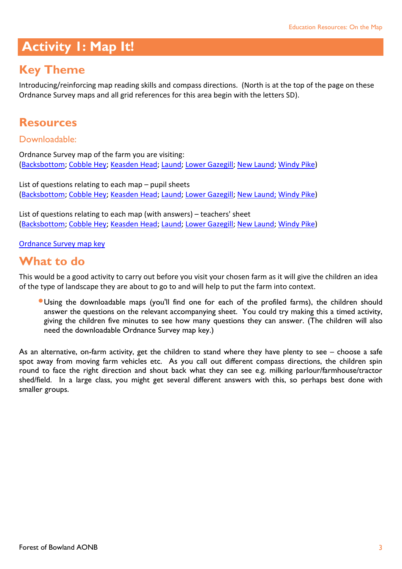## **Activity 1: Map It!**

# **Key Theme**

Introducing/reinforcing map reading skills and compass directions. (North is at the top of the page on these Ordnance Survey maps and all grid references for this area begin with the letters SD).

#### **Resources**

Downloadable:

Ordnance Survey map of the farm you are visiting: [\(Backsbottom;](http://www.forestofbowland.com/files/uploads/education/backsbottomfarmordnancesurvey_modern.pdf) [Cobble Hey;](http://www.forestofbowland.com/files/uploads/education/cobbleheyfarmordnancesurvey_modern.pdf) [Keasden Head;](http://www.forestofbowland.com/files/uploads/education/keasdenheadordnancesurvey_modern.pdf) [Laund;](http://www.forestofbowland.com/files/uploads/education/laundfarmordnancesurvey_modern.pdf) [Lower Gazegill;](http://www.forestofbowland.com/files/uploads/education/lowergazegillfarm_ordnancesurvey.pdf) [New Laund;](http://www.forestofbowland.com/files/uploads/education/newlaundfarmordnancesurvey_modern.pdf) [Windy Pike\)](http://www.forestofbowland.com/files/uploads/education/windypikefarm_ordnancesurveymodern.pdf)

List of questions relating to each map – pupil sheets [\(Backsbottom;](http://www.forestofbowland.com/files/uploads/education/template_mapit_backsbottomfarm_pupilsheet.doc) [Cobble Hey;](http://www.forestofbowland.com/files/uploads/education/template_mapit_cobbleheyfarm_pupilsheet.doc) [Keasden Head;](template_mapit_keasdenheadfarm_pupilsheet.doc) [Laund;](http://www.forestofbowland.com/files/uploads/education/template_mapit_laundfarm_pupilsheet.doc) [Lower Gazegill;](http://www.forestofbowland.com/files/uploads/education/template_mapit_lowergazegillfarm_pupilsheet.doc) [New Laund;](http://www.forestofbowland.com/files/uploads/education/template_mapit_newlaundfarm_pupil_sheet.doc) [Windy Pike\)](http://www.forestofbowland.com/files/uploads/education/template_mapit_windypikefarm_pupil_sheet.doc)

List of questions relating to each map (with answers) – teachers' sheet [\(Backsbottom;](http://www.forestofbowland.com/files/uploads/education/template_mapit_backsbottomfarm_answers.doc) [Cobble Hey;](http://www.forestofbowland.com/files/uploads/education/template_mapit_cobbleheyfarm_answers.doc) [Keasden Head;](http://www.forestofbowland.com/files/uploads/education/template_mapit_keasdenheadfarm_answers.doc) [Laund;](http://www.forestofbowland.com/files/uploads/education/template_mapit_laundfarm_answers.doc) [Lower Gazegill;](http://www.forestofbowland.com/files/uploads/education/template_mapit_lowergazegillfarm_answers.doc) [New Laund;](http://www.forestofbowland.com/files/uploads/education/template_mapit_newlaundfarm_answers.doc) [Windy Pike\)](http://www.forestofbowland.com/files/uploads/education/template_mapit_windypikefarm_answers.doc)

[Ordnance Survey map key](http://www.forestofbowland.com/files/uploads/education/ordnancesurvey_mapkey.pdf)

### **What to do**

This would be a good activity to carry out before you visit your chosen farm as it will give the children an idea of the type of landscape they are about to go to and will help to put the farm into context.

Using the downloadable maps (you'll find one for each of the profiled farms), the children should answer the questions on the relevant accompanying sheet. You could try making this a timed activity, giving the children five minutes to see how many questions they can answer. (The children will also need the downloadable Ordnance Survey map key.)

As an alternative, on-farm activity, get the children to stand where they have plenty to see – choose a safe spot away from moving farm vehicles etc. As you call out different compass directions, the children spin round to face the right direction and shout back what they can see e.g. milking parlour/farmhouse/tractor shed/field. In a large class, you might get several different answers with this, so perhaps best done with smaller groups.